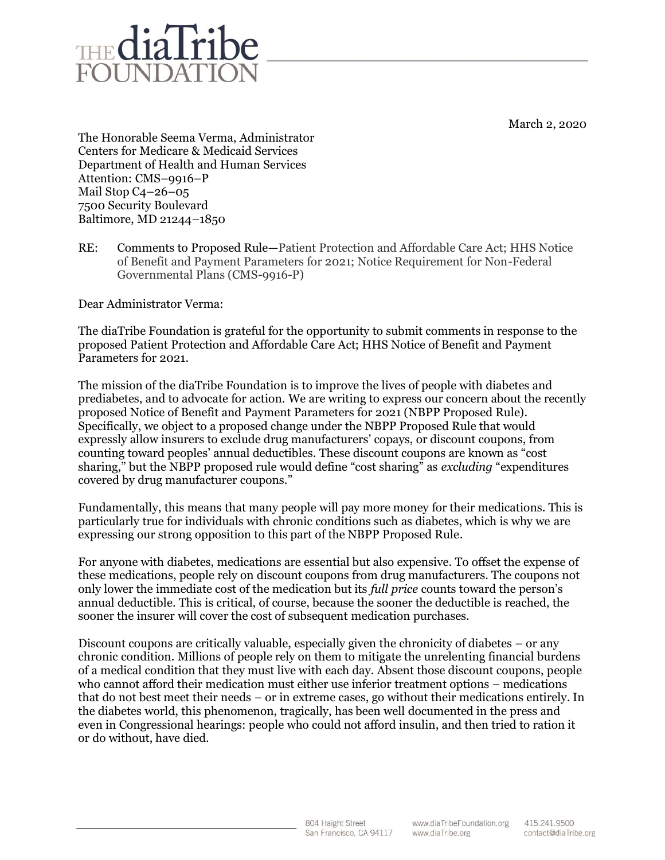March 2, 2020



The Honorable Seema Verma, Administrator Centers for Medicare & Medicaid Services Department of Health and Human Services Attention: CMS–9916–P Mail Stop C4–26–05 7500 Security Boulevard Baltimore, MD 21244–1850

RE: Comments to Proposed Rule—Patient Protection and Affordable Care Act; HHS Notice of Benefit and Payment Parameters for 2021; Notice Requirement for Non-Federal Governmental Plans (CMS-9916-P)

Dear Administrator Verma:

The diaTribe Foundation is grateful for the opportunity to submit comments in response to the proposed Patient Protection and Affordable Care Act; HHS Notice of Benefit and Payment Parameters for 2021.

The mission of the diaTribe Foundation is to improve the lives of people with diabetes and prediabetes, and to advocate for action. We are writing to express our concern about the recently proposed Notice of Benefit and Payment Parameters for 2021 (NBPP Proposed Rule). Specifically, we object to a proposed change under the NBPP Proposed Rule that would expressly allow insurers to exclude drug manufacturers' copays, or discount coupons, from counting toward peoples' annual deductibles. These discount coupons are known as "cost sharing," but the NBPP proposed rule would define "cost sharing" as *excluding* "expenditures covered by drug manufacturer coupons."

Fundamentally, this means that many people will pay more money for their medications. This is particularly true for individuals with chronic conditions such as diabetes, which is why we are expressing our strong opposition to this part of the NBPP Proposed Rule.

For anyone with diabetes, medications are essential but also expensive. To offset the expense of these medications, people rely on discount coupons from drug manufacturers. The coupons not only lower the immediate cost of the medication but its *full price* counts toward the person's annual deductible. This is critical, of course, because the sooner the deductible is reached, the sooner the insurer will cover the cost of subsequent medication purchases.

Discount coupons are critically valuable, especially given the chronicity of diabetes – or any chronic condition. Millions of people rely on them to mitigate the unrelenting financial burdens of a medical condition that they must live with each day. Absent those discount coupons, people who cannot afford their medication must either use inferior treatment options – medications that do not best meet their needs – or in extreme cases, go without their medications entirely. In the diabetes world, this phenomenon, tragically, has been well documented in the press and even in Congressional hearings: people who could not afford insulin, and then tried to ration it or do without, have died.